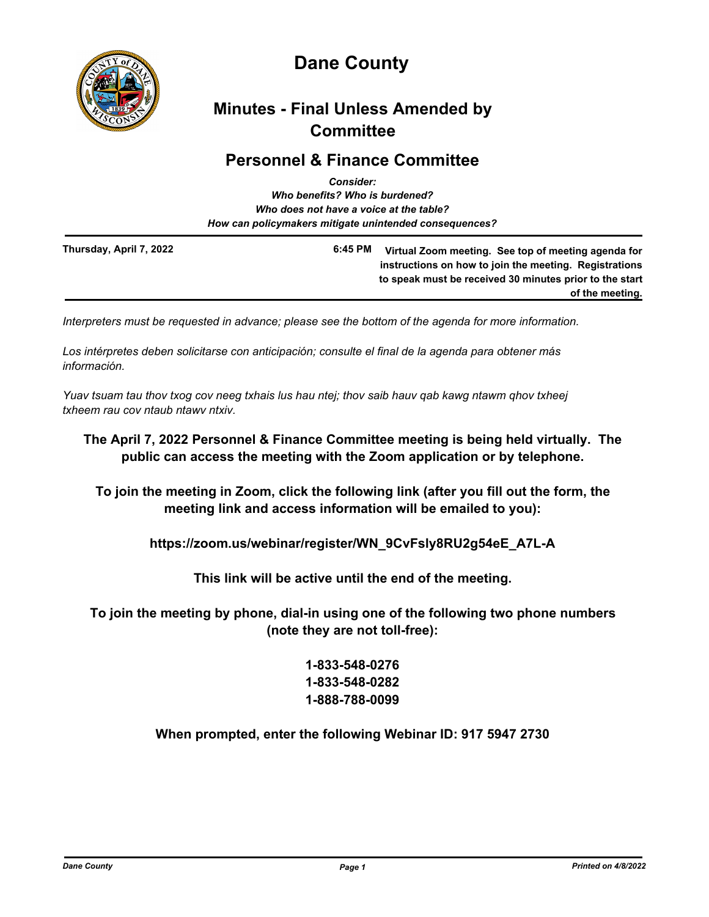

# **Dane County**

## **Minutes - Final Unless Amended by Committee**

### **Personnel & Finance Committee**

|                         | <b>Consider:</b>                                       |                                                                                                                                                                          |
|-------------------------|--------------------------------------------------------|--------------------------------------------------------------------------------------------------------------------------------------------------------------------------|
|                         | Who benefits? Who is burdened?                         |                                                                                                                                                                          |
|                         | Who does not have a voice at the table?                |                                                                                                                                                                          |
|                         | How can policymakers mitigate unintended consequences? |                                                                                                                                                                          |
| Thursday, April 7, 2022 | 6:45 PM                                                | Virtual Zoom meeting. See top of meeting agenda for<br>instructions on how to join the meeting. Registrations<br>to speak must be received 30 minutes prior to the start |
|                         |                                                        | of the meeting.                                                                                                                                                          |

*Interpreters must be requested in advance; please see the bottom of the agenda for more information.*

*Los intérpretes deben solicitarse con anticipación; consulte el final de la agenda para obtener más información.*

*Yuav tsuam tau thov txog cov neeg txhais lus hau ntej; thov saib hauv qab kawg ntawm qhov txheej txheem rau cov ntaub ntawv ntxiv.*

#### **The April 7, 2022 Personnel & Finance Committee meeting is being held virtually. The public can access the meeting with the Zoom application or by telephone.**

**To join the meeting in Zoom, click the following link (after you fill out the form, the meeting link and access information will be emailed to you):**

**https://zoom.us/webinar/register/WN\_9CvFsly8RU2g54eE\_A7L-A**

**This link will be active until the end of the meeting.**

**To join the meeting by phone, dial-in using one of the following two phone numbers (note they are not toll-free):**

### **1-833-548-0276 1-833-548-0282 1-888-788-0099**

**When prompted, enter the following Webinar ID: 917 5947 2730**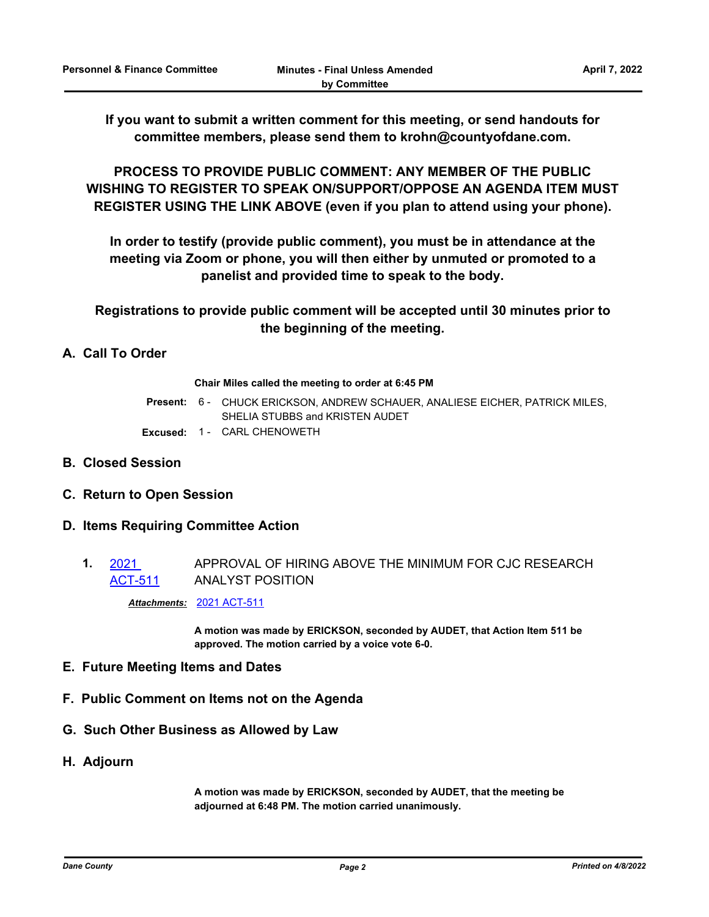**If you want to submit a written comment for this meeting, or send handouts for committee members, please send them to krohn@countyofdane.com.**

**PROCESS TO PROVIDE PUBLIC COMMENT: ANY MEMBER OF THE PUBLIC WISHING TO REGISTER TO SPEAK ON/SUPPORT/OPPOSE AN AGENDA ITEM MUST REGISTER USING THE LINK ABOVE (even if you plan to attend using your phone).**

**In order to testify (provide public comment), you must be in attendance at the meeting via Zoom or phone, you will then either by unmuted or promoted to a panelist and provided time to speak to the body.**

**Registrations to provide public comment will be accepted until 30 minutes prior to the beginning of the meeting.**

#### **A. Call To Order**

#### **Chair Miles called the meeting to order at 6:45 PM**

Present: 6 - CHUCK ERICKSON, ANDREW SCHAUER, ANALIESE EICHER, PATRICK MILES, SHELIA STUBBS and KRISTEN AUDET

- **Excused:** 1 CARL CHENOWETH
- **B. Closed Session**
- **C. Return to Open Session**
- **D. Items Requiring Committee Action**
	- **1.** 2021 [ACT-511](http://dane.legistar.com/gateway.aspx?m=l&id=/matter.aspx?key=22646) APPROVAL OF HIRING ABOVE THE MINIMUM FOR CJC RESEARCH ANALYST POSITION

*Attachments:* [2021 ACT-511](http://dane.legistar.com/gateway.aspx?M=F&ID=0909857e-1e79-4fdf-8b56-6fc5bb837c7c.pdf)

**A motion was made by ERICKSON, seconded by AUDET, that Action Item 511 be approved. The motion carried by a voice vote 6-0.**

- **E. Future Meeting Items and Dates**
- **F. Public Comment on Items not on the Agenda**
- **G. Such Other Business as Allowed by Law**
- **H. Adjourn**

**A motion was made by ERICKSON, seconded by AUDET, that the meeting be adjourned at 6:48 PM. The motion carried unanimously.**